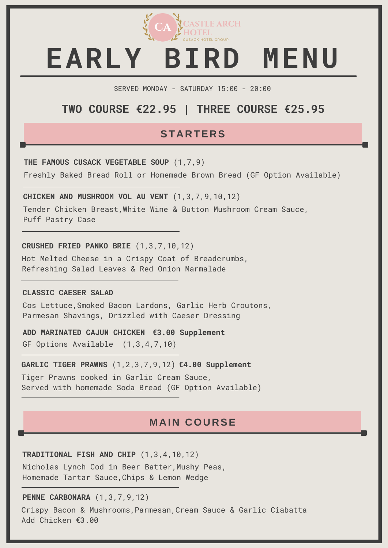

# *EST 2010* **EARLY BIRD MENU**

SERVED MONDAY - SATURDAY 15:00 - 20:00

# **TWO COURSE €22.95 | THREE COURSE €25.95**

### **STARTERS**

**THE FAMOUS CUSACK VEGETABLE SOUP** (1,7,9)

Freshly Baked Bread Roll or Homemade Brown Bread (GF Option Available)

**CHICKEN AND MUSHROOM VOL AU VENT** (1,3,7,9,10,12)

Tender Chicken Breast,White Wine & Button Mushroom Cream Sauce, Puff Pastry Case

**CRUSHED FRIED PANKO BRIE** (1,3,7,10,12)

Hot Melted Cheese in a Crispy Coat of Breadcrumbs, Refreshing Salad Leaves & Red Onion Marmalade

#### **CLASSIC CAESER SALAD**

Cos Lettuce,Smoked Bacon Lardons, Garlic Herb Croutons, Parmesan Shavings, Drizzled with Caeser Dressing

**ADD MARINATED CAJUN CHICKEN €3.00 Supplement**GF Options Available (1,3,4,7,10)

**GARLIC TIGER PRAWNS** (1,2,3,7,9,12) **€4.00 Supplement**

Tiger Prawns cooked in Garlic Cream Sauce, Served with homemade Soda Bread (GF Option Available)

### **M AIN COURSE**

**TRADITIONAL FISH AND CHIP** (1,3,4,10,12)

Nicholas Lynch Cod in Beer Batter,Mushy Peas, Homemade Tartar Sauce,Chips & Lemon Wedge

**PENNE CARBONARA** (1,3,7,9,12)

Crispy Bacon & Mushrooms,Parmesan,Cream Sauce & Garlic Ciabatta Add Chicken €3.00